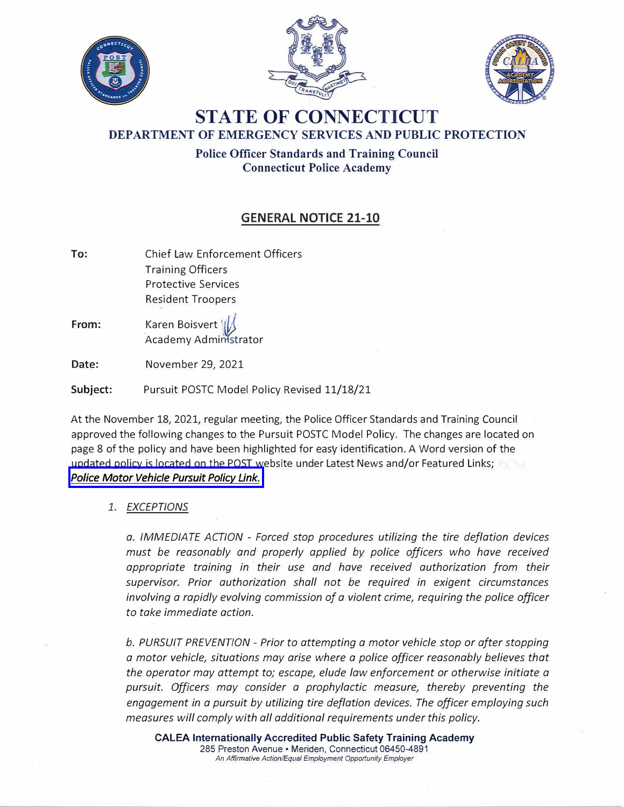





## **STATE OF CONNECTICUT DEPARTMENT OF EMERGENCY SERVICES AND PUBLIC PROTECTION**

**Police Officer Standards and Training Council Connecticut Police Academy** 

## **GENERAL NOTICE 21-10**

- **To:**  Chief Law Enforcement Officers Training Officers Protective Services Resident Troopers
- **From:**  \_ Karen Boisvert \ { Academy Administrator

**Date:**  November 29, 2021

**Subject:** Pursuit POSTC Model Policy Revised 11/18/21

At the November 18, 2021, regular meeting, the Police Officer Standards and Training Council approved the following changes to the Pursuit POSTC Model Policy. The changes are located on page 8 of the policy and have been highlighted for easy identification. A Word version of the updated policy is located on the POST website under Latest News and/or Featured Links; *[Police Motor Vehicle Pursuit Policy Link.](https://portal.ct.gov/-/media/POST/GENERAL_NOTICES/2021/GN-21-10/POSTC-Police-Motor-Vehicle-Pursuit-Policy-Revised-11_18_21.docx)* 

## *1. EXCEPTIONS*

*a. IMMEDIATE ACTION - Forced stop procedures utilizing the tire deflation devices must be reasonably and properly applied by police officers who have received appropriate training in · their use and have received authorization from their supervisor. Prior authorization shall not be required in exigent circumstances involving a rapidly evolving commission of a violent crime, requiring the police officer to take immediate action.*

*b. PURSUIT PREVENTION - Prior to attempting a motor vehicle stop or after stopping a motor vehicle, situations may arise where a police officer reasonably believes that the operator may attempt to; escape, elude law enforcement or otherwise initiate a pursuit. Officers may consider a prophylactic measure, thereby preventing the engagement in a pursuit by utilizing tire deflation devices. The officer employing such measures will comply with all additional requirements under this policy.*

**CALEA Internationally Accredited Public Safety Training Academy**  285 Preston Avenue • Meriden, Connecticut 06450-4891 *An Affirmative Action/Equal Employment Opportunity Employer*